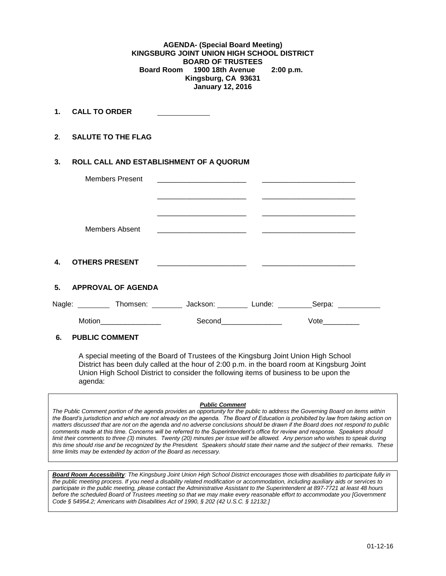**AGENDA- (Special Board Meeting) KINGSBURG JOINT UNION HIGH SCHOOL DISTRICT BOARD OF TRUSTEES Board Room 1900 18th Avenue 2:00 p.m. Kingsburg, CA 93631 January 12, 2016**

**1. CALL TO ORDER** 

**2**. **SALUTE TO THE FLAG**

# **3. ROLL CALL AND ESTABLISHMENT OF A QUORUM**

|                | <b>Members Present</b>                                                |                                                                                 | the contract of the contract of the contract of the contract of the contract of                                       |        |  |
|----------------|-----------------------------------------------------------------------|---------------------------------------------------------------------------------|-----------------------------------------------------------------------------------------------------------------------|--------|--|
|                |                                                                       |                                                                                 |                                                                                                                       |        |  |
|                | Members Absent                                                        | the contract of the contract of the contract of the contract of the contract of |                                                                                                                       |        |  |
| $\mathbf{4}$   | <b>OTHERS PRESENT</b>                                                 | the contract of the contract of the contract of the contract of                 | <u> 1989 - Johann Harry Harry Harry Harry Harry Harry Harry Harry Harry Harry Harry Harry Harry Harry Harry Harry</u> |        |  |
| 5 <sub>1</sub> | <b>APPROVAL OF AGENDA</b>                                             |                                                                                 |                                                                                                                       |        |  |
|                | Nagle: __________ Thomsen: _________ Jackson: ________ Lunde: _______ |                                                                                 |                                                                                                                       | Serpa: |  |
| Motion         |                                                                       | Second                                                                          |                                                                                                                       | Vote   |  |
| ----           |                                                                       |                                                                                 |                                                                                                                       |        |  |

### **6. PUBLIC COMMENT**

A special meeting of the Board of Trustees of the Kingsburg Joint Union High School District has been duly called at the hour of 2:00 p.m. in the board room at Kingsburg Joint Union High School District to consider the following items of business to be upon the agenda:

#### *Public Comment*

*The Public Comment portion of the agenda provides an opportunity for the public to address the Governing Board on items within the Board's jurisdiction and which are not already on the agenda. The Board of Education is prohibited by law from taking action on matters discussed that are not on the agenda and no adverse conclusions should be drawn if the Board does not respond to public comments made at this time. Concerns will be referred to the Superintendent's office for review and response. Speakers should limit their comments to three (3) minutes. Twenty (20) minutes per issue will be allowed. Any person who wishes to speak during this time should rise and be recognized by the President. Speakers should state their name and the subject of their remarks. These time limits may be extended by action of the Board as necessary.*

*Board Room Accessibility: The Kingsburg Joint Union High School District encourages those with disabilities to participate fully in the public meeting process. If you need a disability related modification or accommodation, including auxiliary aids or services to participate in the public meeting, please contact the Administrative Assistant to the Superintendent at 897-7721 at least 48 hours before the scheduled Board of Trustees meeting so that we may make every reasonable effort to accommodate you [Government Code § 54954.2; Americans with Disabilities Act of 1990, § 202 (42 U.S.C. § 12132.]*